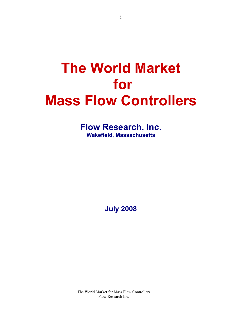# **The World Market for Mass Flow Controllers**

**Flow Research, Inc. Wakefield, Massachusetts** 

**July 2008** 

The World Market for Mass Flow Controllers Flow Research Inc.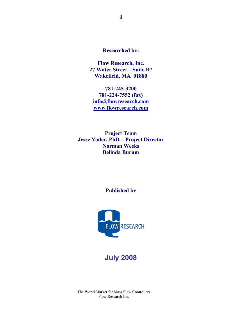**Researched by:** 

**Flow Research, Inc. 27 Water Street – Suite B7 Wakefield, MA 01880** 

**781-245-3200 781-224-7552 (fax) info@flowresearch.com www.flowresearch.com**

**Project Team Jesse Yoder, PhD. - Project Director Norman Weeks Belinda Burum** 

**Published by** 



# **July 2008**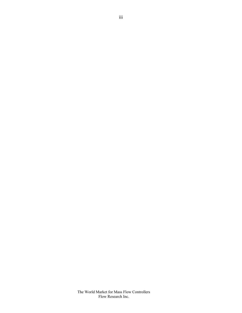The World Market for Mass Flow Controllers Flow Research Inc.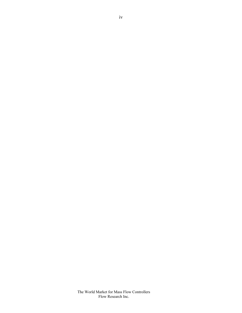The World Market for Mass Flow Controllers Flow Research Inc.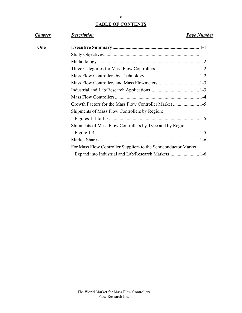| <b>Chapter</b> | <b>Description</b>                                              | <b>Page Number</b> |
|----------------|-----------------------------------------------------------------|--------------------|
| One            |                                                                 |                    |
|                |                                                                 |                    |
|                |                                                                 |                    |
|                |                                                                 |                    |
|                |                                                                 |                    |
|                |                                                                 |                    |
|                |                                                                 |                    |
|                |                                                                 |                    |
|                |                                                                 |                    |
|                | Shipments of Mass Flow Controllers by Region:                   |                    |
|                |                                                                 |                    |
|                | Shipments of Mass Flow Controllers by Type and by Region:       |                    |
|                |                                                                 |                    |
|                |                                                                 |                    |
|                | For Mass Flow Controller Suppliers to the Semiconductor Market, |                    |
|                |                                                                 |                    |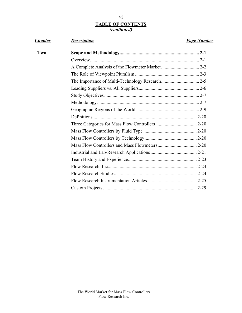| <b>Chapter</b> | <b>Description</b> | <b>Page Number</b> |
|----------------|--------------------|--------------------|
| Two            |                    |                    |
|                |                    |                    |
|                |                    |                    |
|                |                    |                    |
|                |                    |                    |
|                |                    |                    |
|                |                    |                    |
|                |                    |                    |
|                |                    |                    |
|                |                    |                    |
|                |                    |                    |
|                |                    |                    |
|                |                    |                    |
|                |                    |                    |
|                |                    |                    |
|                |                    |                    |
|                |                    |                    |
|                |                    |                    |
|                |                    |                    |
|                |                    |                    |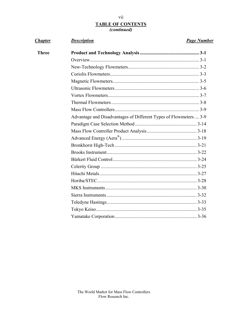**Chapter Description Three** Advantage and Disadvantages of Different Types of Flowmeters .... 3-9 MKS Instruments 3-30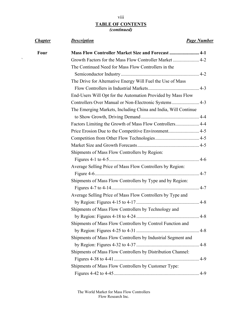| <b>Chapter</b> | <b>Description</b>                                             | <b>Page Number</b> |
|----------------|----------------------------------------------------------------|--------------------|
| <b>Four</b>    | <b>Mass Flow Controller Market Size and Forecast  4-1</b>      |                    |
|                |                                                                |                    |
|                | The Continued Need for Mass Flow Controllers in the            |                    |
|                |                                                                |                    |
|                | The Drive for Alternative Energy Will Fuel the Use of Mass     |                    |
|                |                                                                |                    |
|                | End-Users Will Opt for the Automation Provided by Mass Flow    |                    |
|                |                                                                |                    |
|                | The Emerging Markets, Including China and India, Will Continue |                    |
|                |                                                                |                    |
|                | Factors Limiting the Growth of Mass Flow Controllers 4-4       |                    |
|                |                                                                |                    |
|                |                                                                |                    |
|                |                                                                |                    |
|                | Shipments of Mass Flow Controllers by Region:                  |                    |
|                |                                                                |                    |
|                | Average Selling Price of Mass Flow Controllers by Region:      |                    |
|                |                                                                |                    |
|                | Shipments of Mass Flow Controllers by Type and by Region:      |                    |
|                |                                                                |                    |
|                | Average Selling Price of Mass Flow Controllers by Type and     |                    |
|                |                                                                |                    |
|                | Shipments of Mass Flow Controllers by Technology and           |                    |
|                |                                                                |                    |
|                | Shipments of Mass Flow Controllers by Control Function and     |                    |
|                |                                                                |                    |
|                | Shipments of Mass Flow Controllers by Industrial Segment and   |                    |
|                |                                                                |                    |
|                | Shipments of Mass Flow Controllers by Distribution Channel:    |                    |
|                |                                                                |                    |
|                | Shipments of Mass Flow Controllers by Customer Type:           |                    |
|                |                                                                |                    |

# viii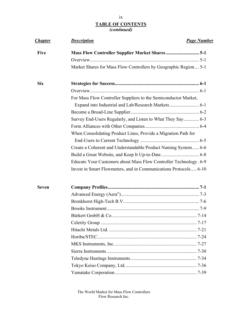| <b>Chapter</b> | <b>Description</b>                                                 | <b>Page Number</b> |
|----------------|--------------------------------------------------------------------|--------------------|
| <b>Five</b>    |                                                                    |                    |
|                |                                                                    |                    |
|                | Market Shares for Mass Flow Controllers by Geographic Region 5-1   |                    |
| <b>Six</b>     |                                                                    |                    |
|                |                                                                    |                    |
|                | For Mass Flow Controller Suppliers to the Semiconductor Market,    |                    |
|                |                                                                    |                    |
|                |                                                                    |                    |
|                | Survey End-Users Regularly, and Listen to What They Say 6-3        |                    |
|                |                                                                    |                    |
|                | When Consolidating Product Lines, Provide a Migration Path for     |                    |
|                |                                                                    |                    |
|                | Create a Coherent and Understandable Product Naming System 6-6     |                    |
|                |                                                                    |                    |
|                | Educate Your Customers about Mass Flow Controller Technology . 6-9 |                    |
|                | Invest in Smart Flowmeters, and in Communications Protocols 6-10   |                    |
| <b>Seven</b>   |                                                                    |                    |
|                |                                                                    |                    |
|                |                                                                    |                    |
|                |                                                                    |                    |
|                |                                                                    |                    |
|                |                                                                    |                    |
|                |                                                                    |                    |
|                |                                                                    |                    |
|                |                                                                    |                    |
|                |                                                                    |                    |
|                |                                                                    |                    |
|                |                                                                    |                    |
|                |                                                                    |                    |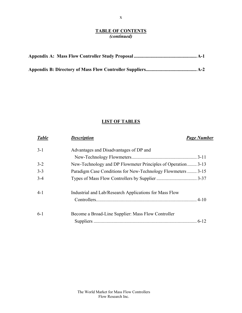#### **LIST OF TABLES**

| <b>Table</b> | <b>Description</b><br><b>Page Number</b>                     |
|--------------|--------------------------------------------------------------|
| $3 - 1$      | Advantages and Disadvantages of DP and                       |
|              |                                                              |
| $3 - 2$      | New-Technology and DP Flowmeter Principles of Operation 3-13 |
| $3 - 3$      | Paradigm Case Conditions for New-Technology Flowmeters  3-15 |
| $3-4$        |                                                              |
| $4 - 1$      | Industrial and Lab/Research Applications for Mass Flow       |
|              |                                                              |
| $6-1$        | Become a Broad-Line Supplier: Mass Flow Controller           |
|              |                                                              |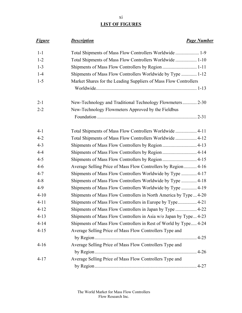# **LIST OF FIGURES**

| <b>Figure</b> | <b>Page Number</b><br><b>Description</b>                          |
|---------------|-------------------------------------------------------------------|
| $1 - 1$       | Total Shipments of Mass Flow Controllers Worldwide  1-9           |
| $1 - 2$       | Total Shipments of Mass Flow Controllers Worldwide  1-10          |
| $1 - 3$       |                                                                   |
| $1-4$         | Shipments of Mass Flow Controllers Worldwide by Type  1-12        |
| $1 - 5$       | Market Shares for the Leading Suppliers of Mass Flow Controllers  |
|               |                                                                   |
| $2 - 1$       | New-Technology and Traditional Technology Flowmeters 2-30         |
| $2 - 2$       | New-Technology Flowmeters Approved by the Fieldbus                |
|               |                                                                   |
| $4 - 1$       | Total Shipments of Mass Flow Controllers Worldwide  4-11          |
| $4 - 2$       | Total Shipments of Mass Flow Controllers Worldwide  4-12          |
| $4 - 3$       |                                                                   |
| $4 - 4$       | Shipments of Mass Flow Controllers by Region  4-14                |
| $4 - 5$       |                                                                   |
| $4 - 6$       | Average Selling Price of Mass Flow Controllers by Region 4-16     |
| $4 - 7$       | Shipments of Mass Flow Controllers Worldwide by Type  4-17        |
| $4 - 8$       | Shipments of Mass Flow Controllers Worldwide by Type  4-18        |
| $4-9$         | Shipments of Mass Flow Controllers Worldwide by Type  4-19        |
| $4 - 10$      | Shipments of Mass Flow Controllers in North America by Type  4-20 |
| $4 - 11$      |                                                                   |
| $4 - 12$      | Shipments of Mass Flow Controllers in Japan by Type  4-22         |
| $4 - 13$      | Shipments of Mass Flow Controllers in Asia w/o Japan by Type4-23  |
| $4 - 14$      | Shipments of Mass Flow Controllers in Rest of World by Type 4-24  |
| $4 - 15$      | Average Selling Price of Mass Flow Controllers Type and           |
|               |                                                                   |
| $4 - 16$      | Average Selling Price of Mass Flow Controllers Type and           |
|               |                                                                   |
| $4 - 17$      | Average Selling Price of Mass Flow Controllers Type and           |
|               |                                                                   |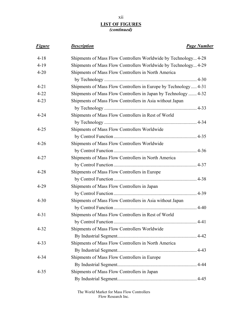#### xii **LIST OF FIGURES** *(continued)*

*Figure Description Description Page Number* 

| $4 - 18$ | Shipments of Mass Flow Controllers Worldwide by Technology 4-28 |
|----------|-----------------------------------------------------------------|
| $4 - 19$ | Shipments of Mass Flow Controllers Worldwide by Technology 4-29 |
| $4 - 20$ | Shipments of Mass Flow Controllers in North America             |
|          |                                                                 |
| $4 - 21$ | Shipments of Mass Flow Controllers in Europe by Technology 4-31 |
| $4 - 22$ | Shipments of Mass Flow Controllers in Japan by Technology  4-32 |
| $4 - 23$ | Shipments of Mass Flow Controllers in Asia without Japan        |
|          |                                                                 |
| $4 - 24$ | Shipments of Mass Flow Controllers in Rest of World             |
|          |                                                                 |
| $4 - 25$ | Shipments of Mass Flow Controllers Worldwide                    |
|          |                                                                 |
| $4 - 26$ | Shipments of Mass Flow Controllers Worldwide                    |
|          |                                                                 |
| $4 - 27$ | Shipments of Mass Flow Controllers in North America             |
|          |                                                                 |
| $4 - 28$ | Shipments of Mass Flow Controllers in Europe                    |
|          |                                                                 |
| $4 - 29$ | Shipments of Mass Flow Controllers in Japan                     |
|          |                                                                 |
| $4 - 30$ | Shipments of Mass Flow Controllers in Asia without Japan        |
|          |                                                                 |
| $4 - 31$ | Shipments of Mass Flow Controllers in Rest of World             |
|          |                                                                 |
| $4 - 32$ | Shipments of Mass Flow Controllers Worldwide                    |
|          |                                                                 |
| $4 - 33$ | Shipments of Mass Flow Controllers in North America             |
|          |                                                                 |
| $4 - 34$ | Shipments of Mass Flow Controllers in Europe                    |
|          |                                                                 |
| $4 - 35$ | Shipments of Mass Flow Controllers in Japan                     |
|          |                                                                 |
|          |                                                                 |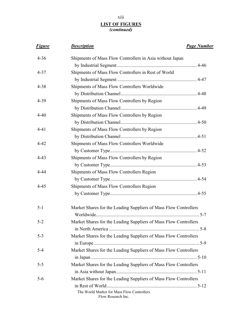### xiii **LIST OF FIGURES** *(continued)*

*Figure Description Page Number* 

| $4 - 36$ | Shipments of Mass Flow Controllers in Asia without Japan         |
|----------|------------------------------------------------------------------|
| $4 - 37$ | Shipments of Mass Flow Controllers in Rest of World              |
|          |                                                                  |
| $4 - 38$ | Shipments of Mass Flow Controllers Worldwide                     |
|          |                                                                  |
| $4 - 39$ | Shipments of Mass Flow Controllers by Region                     |
|          |                                                                  |
| $4 - 40$ | Shipments of Mass Flow Controllers by Region                     |
|          |                                                                  |
| $4 - 41$ | Shipments of Mass Flow Controllers by Region                     |
|          |                                                                  |
| $4 - 42$ | Shipments of Mass Flow Controllers Worldwide                     |
|          |                                                                  |
| $4 - 43$ | Shipments of Mass Flow Controllers by Region                     |
|          |                                                                  |
| $4 - 44$ |                                                                  |
|          | Shipments of Mass Flow Controllers Region                        |
|          |                                                                  |
| $4 - 45$ | Shipments of Mass Flow Controllers Region                        |
|          |                                                                  |
| $5 - 1$  | Market Shares for the Leading Suppliers of Mass Flow Controllers |
|          |                                                                  |
| $5 - 2$  | Market Shares for the Leading Suppliers of Mass Flow Controllers |
|          | in North America<br>$5 - 8$                                      |
| $5 - 3$  | Market Shares for the Leading Suppliers of Mass Flow Controllers |
|          |                                                                  |
| $5 - 4$  | Market Shares for the Leading Suppliers of Mass Flow Controllers |
|          |                                                                  |
| $5 - 5$  | Market Shares for the Leading Suppliers of Mass Flow Controllers |
|          |                                                                  |
| $5 - 6$  | Market Shares for the Leading Suppliers of Mass Flow Controllers |
|          |                                                                  |
|          | The World Market for Mass Flow Controllers                       |
|          | Flow Research Inc.                                               |